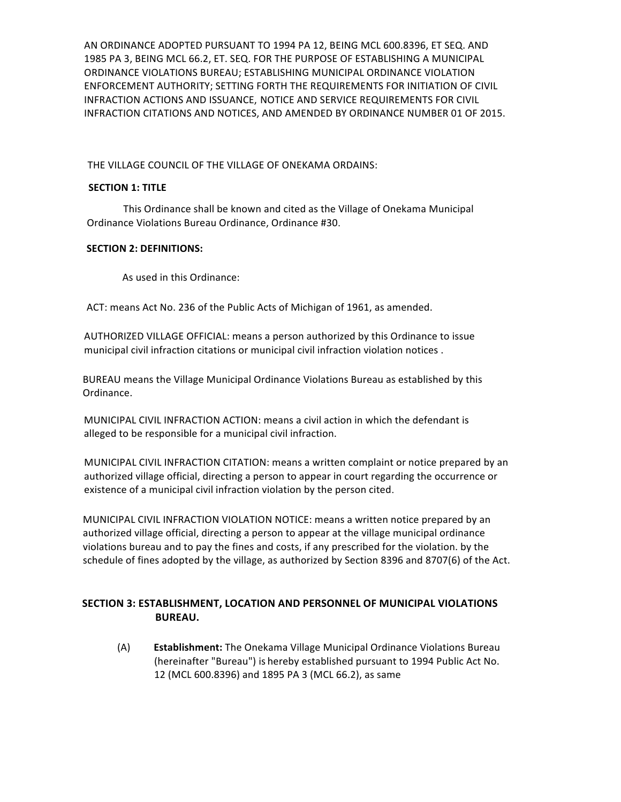AN ORDINANCE ADOPTED PURSUANT TO 1994 PA 12, BEING MCL 600.8396, ET SEQ. AND 1985 PA 3, BEING MCL 66.2, ET. SEQ. FOR THE PURPOSE OF ESTABLISHING A MUNICIPAL ORDINANCE VIOLATIONS BUREAU; ESTABLISHING MUNICIPAL ORDINANCE VIOLATION ENFORCEMENT AUTHORITY; SETTING FORTH THE REQUIREMENTS FOR INITIATION OF CIVIL INFRACTION ACTIONS AND ISSUANCE, NOTICE AND SERVICE REQUIREMENTS FOR CIVIL INFRACTION CITATIONS AND NOTICES, AND AMENDED BY ORDINANCE NUMBER 01 OF 2015.

THE VILLAGE COUNCIL OF THE VILLAGE OF ONEKAMA ORDAINS:

### **SECTION 1: TITLE**

This Ordinance shall be known and cited as the Village of Onekama Municipal Ordinance Violations Bureau Ordinance, Ordinance #30.

### **SECTION 2: DEFINITIONS:**

As used in this Ordinance:

ACT: means Act No. 236 of the Public Acts of Michigan of 1961, as amended.

AUTHORIZED VILLAGE OFFICIAL: means a person authorized by this Ordinance to issue municipal civil infraction citations or municipal civil infraction violation notices .

BUREAU means the Village Municipal Ordinance Violations Bureau as established by this Ordinance.

MUNICIPAL CIVIL INFRACTION ACTION: means a civil action in which the defendant is alleged to be responsible for a municipal civil infraction.

MUNICIPAL CIVIL INFRACTION CITATION: means a written complaint or notice prepared by an authorized village official, directing a person to appear in court regarding the occurrence or existence of a municipal civil infraction violation by the person cited.

MUNICIPAL CIVIL INFRACTION VIOLATION NOTICE: means a written notice prepared by an authorized village official, directing a person to appear at the village municipal ordinance violations bureau and to pay the fines and costs, if any prescribed for the violation. by the schedule of fines adopted by the village, as authorized by Section 8396 and 8707(6) of the Act.

# **SECTION 3: ESTABLISHMENT, LOCATION AND PERSONNEL OF MUNICIPAL VIOLATIONS BUREAU.**

(A) **Establishment:** The Onekama Village Municipal Ordinance Violations Bureau (hereinafter "Bureau") is hereby established pursuant to 1994 Public Act No. 12 (MCL 600.8396) and 1895 PA 3 (MCL 66.2), as same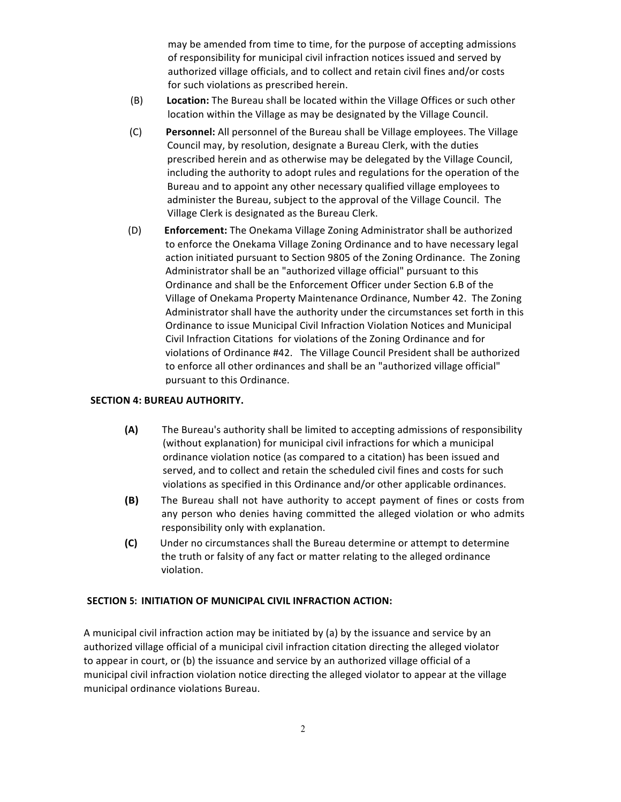may be amended from time to time, for the purpose of accepting admissions of responsibility for municipal civil infraction notices issued and served by authorized village officials, and to collect and retain civil fines and/or costs for such violations as prescribed herein.

- (B) Location: The Bureau shall be located within the Village Offices or such other location within the Village as may be designated by the Village Council.
- (C) Personnel: All personnel of the Bureau shall be Village employees. The Village Council may, by resolution, designate a Bureau Clerk, with the duties prescribed herein and as otherwise may be delegated by the Village Council, including the authority to adopt rules and regulations for the operation of the Bureau and to appoint any other necessary qualified village employees to administer the Bureau, subject to the approval of the Village Council. The Village Clerk is designated as the Bureau Clerk.
- (D) **Enforcement:** The Onekama Village Zoning Administrator shall be authorized to enforce the Onekama Village Zoning Ordinance and to have necessary legal action initiated pursuant to Section 9805 of the Zoning Ordinance. The Zoning Administrator shall be an "authorized village official" pursuant to this Ordinance and shall be the Enforcement Officer under Section 6.B of the Village of Onekama Property Maintenance Ordinance, Number 42. The Zoning Administrator shall have the authority under the circumstances set forth in this Ordinance to issue Municipal Civil Infraction Violation Notices and Municipal Civil Infraction Citations for violations of the Zoning Ordinance and for violations of Ordinance #42. The Village Council President shall be authorized to enforce all other ordinances and shall be an "authorized village official" pursuant to this Ordinance.

#### **SECTION 4: BUREAU AUTHORITY.**

- **(A)** The Bureau's authority shall be limited to accepting admissions of responsibility (without explanation) for municipal civil infractions for which a municipal ordinance violation notice (as compared to a citation) has been issued and served, and to collect and retain the scheduled civil fines and costs for such violations as specified in this Ordinance and/or other applicable ordinances.
- **(B)** The Bureau shall not have authority to accept payment of fines or costs from any person who denies having committed the alleged violation or who admits responsibility only with explanation.
- **(C)** Under no circumstances shall the Bureau determine or attempt to determine the truth or falsity of any fact or matter relating to the alleged ordinance violation.

#### **SECTION 5: INITIATION OF MUNICIPAL CIVIL INFRACTION ACTION:**

A municipal civil infraction action may be initiated by (a) by the issuance and service by an authorized village official of a municipal civil infraction citation directing the alleged violator to appear in court, or (b) the issuance and service by an authorized village official of a municipal civil infraction violation notice directing the alleged violator to appear at the village municipal ordinance violations Bureau.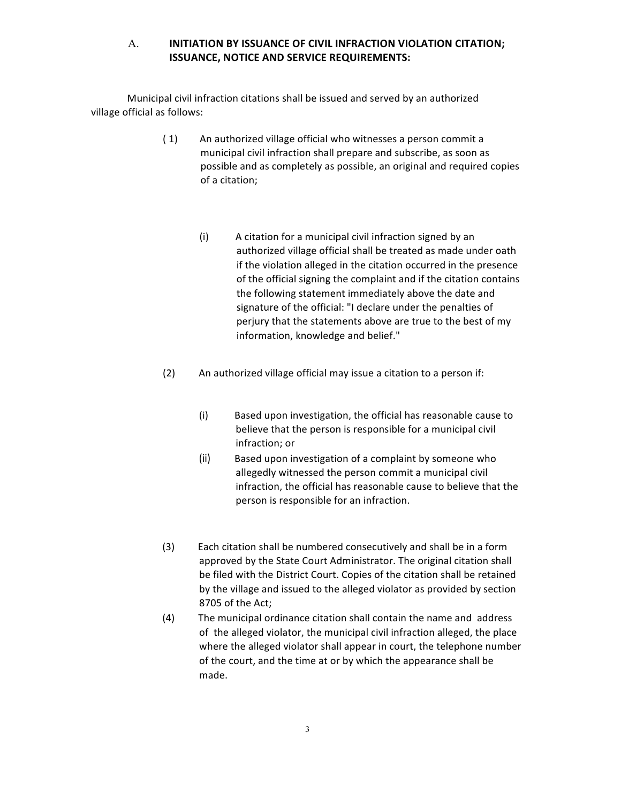## A. **INITIATION BY ISSUANCE OF CIVIL INFRACTION VIOLATION CITATION; ISSUANCE, NOTICE AND SERVICE REQUIREMENTS:**

Municipal civil infraction citations shall be issued and served by an authorized village official as follows:

- (1) An authorized village official who witnesses a person commit a municipal civil infraction shall prepare and subscribe, as soon as possible and as completely as possible, an original and required copies of a citation;
	- (i) A citation for a municipal civil infraction signed by an authorized village official shall be treated as made under oath if the violation alleged in the citation occurred in the presence of the official signing the complaint and if the citation contains the following statement immediately above the date and signature of the official: "I declare under the penalties of perjury that the statements above are true to the best of my information, knowledge and belief."
- (2) An authorized village official may issue a citation to a person if:
	- (i) Based upon investigation, the official has reasonable cause to believe that the person is responsible for a municipal civil infraction; or
	- (ii) Based upon investigation of a complaint by someone who allegedly witnessed the person commit a municipal civil infraction, the official has reasonable cause to believe that the person is responsible for an infraction.
- (3) Each citation shall be numbered consecutively and shall be in a form approved by the State Court Administrator. The original citation shall be filed with the District Court. Copies of the citation shall be retained by the village and issued to the alleged violator as provided by section 8705 of the Act;
- (4) The municipal ordinance citation shall contain the name and address of the alleged violator, the municipal civil infraction alleged, the place where the alleged violator shall appear in court, the telephone number of the court, and the time at or by which the appearance shall be made.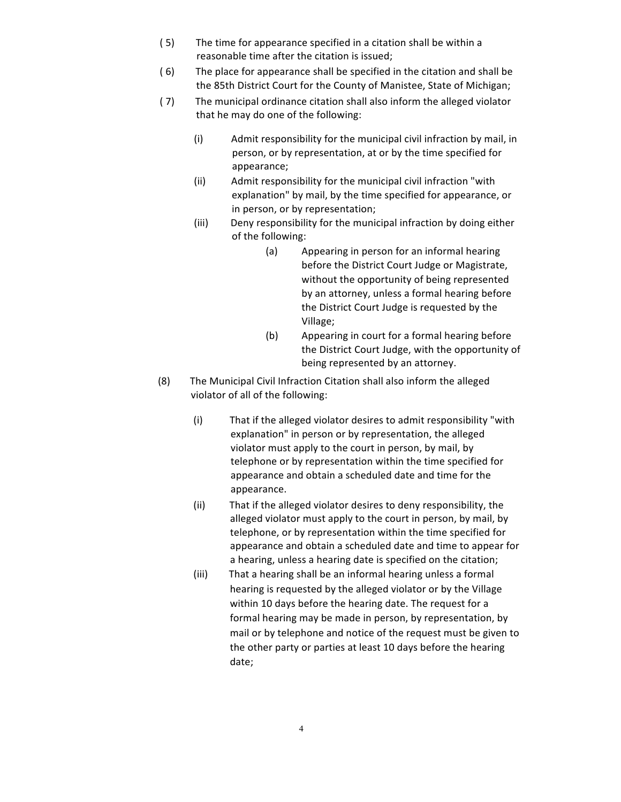- (5) The time for appearance specified in a citation shall be within a reasonable time after the citation is issued;
- (6) The place for appearance shall be specified in the citation and shall be the 85th District Court for the County of Manistee, State of Michigan;
- (7) The municipal ordinance citation shall also inform the alleged violator that he may do one of the following:
	- (i) Admit responsibility for the municipal civil infraction by mail, in person, or by representation, at or by the time specified for appearance;
	- (ii) Admit responsibility for the municipal civil infraction "with explanation" by mail, by the time specified for appearance, or in person, or by representation;
	- (iii) Deny responsibility for the municipal infraction by doing either of the following:
		- (a) Appearing in person for an informal hearing before the District Court Judge or Magistrate, without the opportunity of being represented by an attorney, unless a formal hearing before the District Court Judge is requested by the Village;
		- (b) Appearing in court for a formal hearing before the District Court Judge, with the opportunity of being represented by an attorney.
- (8) The Municipal Civil Infraction Citation shall also inform the alleged violator of all of the following:
	- (i) That if the alleged violator desires to admit responsibility "with explanation" in person or by representation, the alleged violator must apply to the court in person, by mail, by telephone or by representation within the time specified for appearance and obtain a scheduled date and time for the appearance.
	- (ii) That if the alleged violator desires to deny responsibility, the alleged violator must apply to the court in person, by mail, by telephone, or by representation within the time specified for appearance and obtain a scheduled date and time to appear for a hearing, unless a hearing date is specified on the citation;
	- (iii) That a hearing shall be an informal hearing unless a formal hearing is requested by the alleged violator or by the Village within 10 days before the hearing date. The request for a formal hearing may be made in person, by representation, by mail or by telephone and notice of the request must be given to the other party or parties at least 10 days before the hearing date;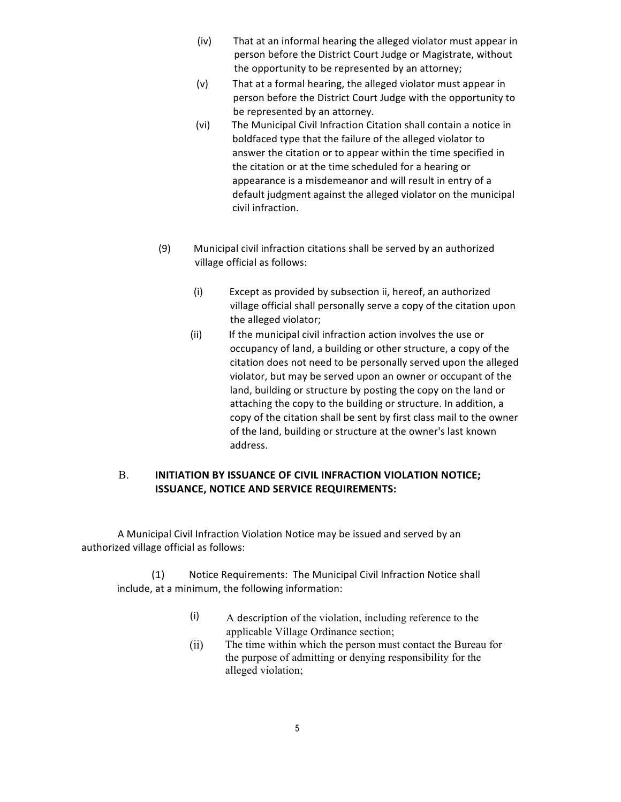- (iv) That at an informal hearing the alleged violator must appear in person before the District Court Judge or Magistrate, without the opportunity to be represented by an attorney;
- (v) That at a formal hearing, the alleged violator must appear in person before the District Court Judge with the opportunity to be represented by an attorney.
- (vi) The Municipal Civil Infraction Citation shall contain a notice in boldfaced type that the failure of the alleged violator to answer the citation or to appear within the time specified in the citation or at the time scheduled for a hearing or appearance is a misdemeanor and will result in entry of a default judgment against the alleged violator on the municipal civil infraction.
- (9) Municipal civil infraction citations shall be served by an authorized village official as follows:
	- (i) Except as provided by subsection ii, hereof, an authorized village official shall personally serve a copy of the citation upon the alleged violator;
	- (ii) If the municipal civil infraction action involves the use or occupancy of land, a building or other structure, a copy of the citation does not need to be personally served upon the alleged violator, but may be served upon an owner or occupant of the land, building or structure by posting the copy on the land or attaching the copy to the building or structure. In addition, a copy of the citation shall be sent by first class mail to the owner of the land, building or structure at the owner's last known address.

# **B. INITIATION BY ISSUANCE OF CIVIL INFRACTION VIOLATION NOTICE; ISSUANCE, NOTICE AND SERVICE REQUIREMENTS:**

A Municipal Civil Infraction Violation Notice may be issued and served by an authorized village official as follows:

(1) Notice Requirements: The Municipal Civil Infraction Notice shall include, at a minimum, the following information:

- (i) A description of the violation, including reference to the applicable Village Ordinance section;
- The time within which the person must contact the Bureau for the purpose of admitting or denying responsibility for the alleged violation; (ii)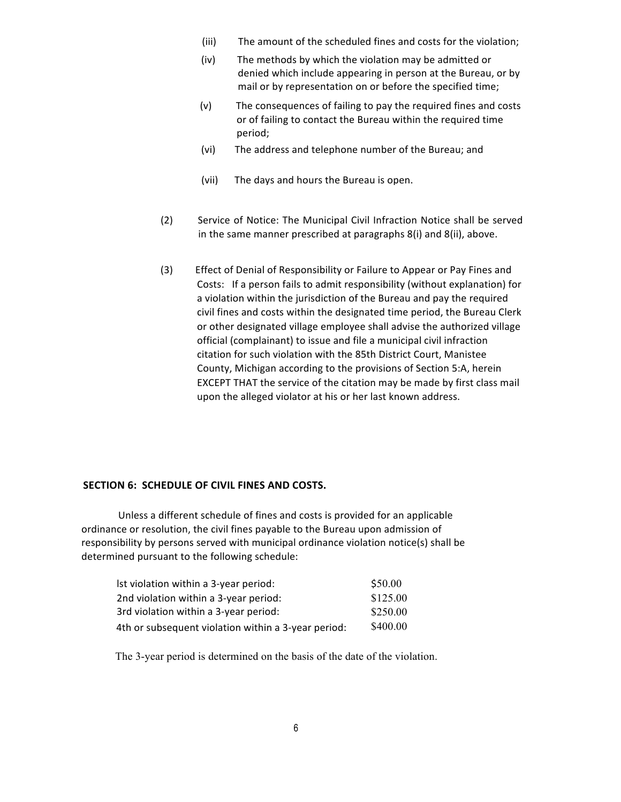- (iii) The amount of the scheduled fines and costs for the violation;
- (iv) The methods by which the violation may be admitted or denied which include appearing in person at the Bureau, or by mail or by representation on or before the specified time;
- $(v)$  The consequences of failing to pay the required fines and costs or of failing to contact the Bureau within the required time period;
- (vi) The address and telephone number of the Bureau; and
- (vii) The days and hours the Bureau is open.
- (2) Service of Notice: The Municipal Civil Infraction Notice shall be served in the same manner prescribed at paragraphs  $8(i)$  and  $8(ii)$ , above.
- (3) Effect of Denial of Responsibility or Failure to Appear or Pay Fines and Costs: If a person fails to admit responsibility (without explanation) for a violation within the jurisdiction of the Bureau and pay the required civil fines and costs within the designated time period, the Bureau Clerk or other designated village employee shall advise the authorized village official (complainant) to issue and file a municipal civil infraction citation for such violation with the 85th District Court, Manistee County, Michigan according to the provisions of Section 5:A, herein EXCEPT THAT the service of the citation may be made by first class mail upon the alleged violator at his or her last known address.

### **SECTION 6: SCHEDULE OF CIVIL FINES AND COSTS.**

Unless a different schedule of fines and costs is provided for an applicable ordinance or resolution, the civil fines payable to the Bureau upon admission of responsibility by persons served with municipal ordinance violation notice(s) shall be determined pursuant to the following schedule:

| Ist violation within a 3-year period:               | \$50.00  |
|-----------------------------------------------------|----------|
| 2nd violation within a 3-year period:               | \$125.00 |
| 3rd violation within a 3-year period:               | \$250.00 |
| 4th or subsequent violation within a 3-year period: | \$400.00 |

The 3-year period is determined on the basis of the date of the violation.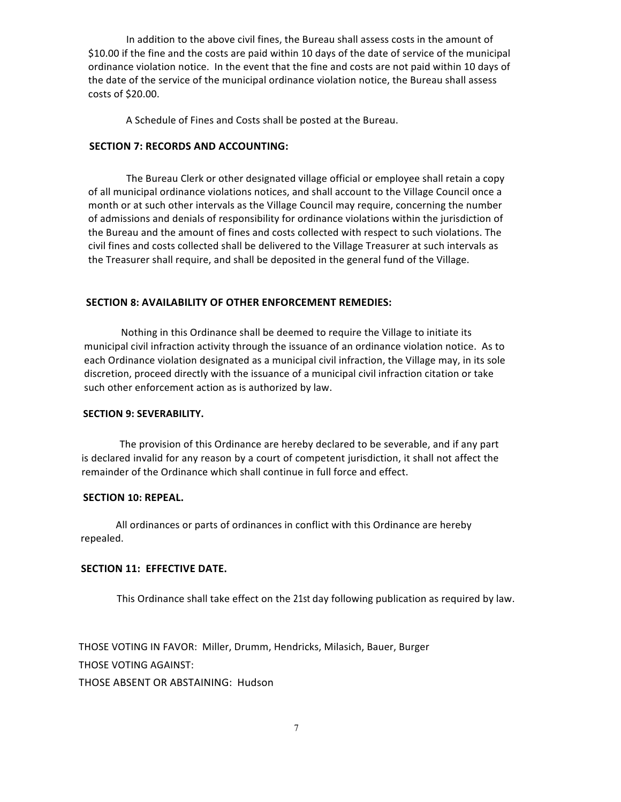In addition to the above civil fines, the Bureau shall assess costs in the amount of \$10.00 if the fine and the costs are paid within 10 days of the date of service of the municipal ordinance violation notice. In the event that the fine and costs are not paid within 10 days of the date of the service of the municipal ordinance violation notice, the Bureau shall assess costs of \$20.00.

A Schedule of Fines and Costs shall be posted at the Bureau.

### **SECTION 7: RECORDS AND ACCOUNTING:**

The Bureau Clerk or other designated village official or employee shall retain a copy of all municipal ordinance violations notices, and shall account to the Village Council once a month or at such other intervals as the Village Council may require, concerning the number of admissions and denials of responsibility for ordinance violations within the jurisdiction of the Bureau and the amount of fines and costs collected with respect to such violations. The civil fines and costs collected shall be delivered to the Village Treasurer at such intervals as the Treasurer shall require, and shall be deposited in the general fund of the Village.

#### **SECTION 8: AVAILABILITY OF OTHER ENFORCEMENT REMEDIES:**

Nothing in this Ordinance shall be deemed to require the Village to initiate its municipal civil infraction activity through the issuance of an ordinance violation notice. As to each Ordinance violation designated as a municipal civil infraction, the Village may, in its sole discretion, proceed directly with the issuance of a municipal civil infraction citation or take such other enforcement action as is authorized by law.

#### **SECTION 9: SEVERABILITY.**

The provision of this Ordinance are hereby declared to be severable, and if any part is declared invalid for any reason by a court of competent jurisdiction, it shall not affect the remainder of the Ordinance which shall continue in full force and effect.

#### **SECTION 10: REPEAL.**

All ordinances or parts of ordinances in conflict with this Ordinance are hereby repealed.

### **SECTION 11: EFFECTIVE DATE.**

This Ordinance shall take effect on the 21st day following publication as required by law.

THOSE VOTING IN FAVOR: Miller, Drumm, Hendricks, Milasich, Bauer, Burger THOSE VOTING AGAINST:

THOSE ABSENT OR ABSTAINING: Hudson